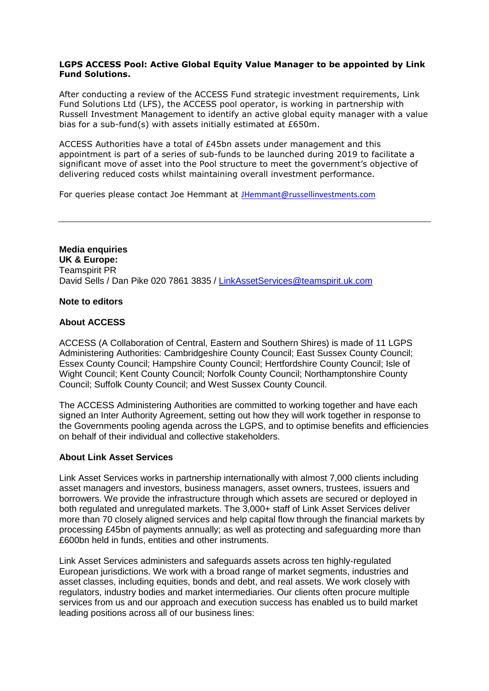### **LGPS ACCESS Pool: Active Global Equity Value Manager to be appointed by Link Fund Solutions.**

After conducting a review of the ACCESS Fund strategic investment requirements, Link Fund Solutions Ltd (LFS), the ACCESS pool operator, is working in partnership with Russell Investment Management to identify an active global equity manager with a value bias for a sub-fund(s) with assets initially estimated at £650m.

ACCESS Authorities have a total of £45bn assets under management and this appointment is part of a series of sub-funds to be launched during 2019 to facilitate a significant move of asset into the Pool structure to meet the government's objective of delivering reduced costs whilst maintaining overall investment performance.

For queries please contact Joe Hemmant at [JHemmant@russellinvestments.com](mailto:JHemmant@russellinvestments.com)

**Media enquiries UK & Europe:**  Teamspirit PR David Sells / Dan Pike 020 7861 3835 / [LinkAssetServices@teamspirit.uk.com](mailto:LinkAssetServices@teamspirit.uk.com)

#### **Note to editors**

### **About ACCESS**

ACCESS (A Collaboration of Central, Eastern and Southern Shires) is made of 11 LGPS Administering Authorities: Cambridgeshire County Council; East Sussex County Council; Essex County Council; Hampshire County Council; Hertfordshire County Council; Isle of Wight Council; Kent County Council; Norfolk County Council; Northamptonshire County Council; Suffolk County Council; and West Sussex County Council.

The ACCESS Administering Authorities are committed to working together and have each signed an Inter Authority Agreement, setting out how they will work together in response to the Governments pooling agenda across the LGPS, and to optimise benefits and efficiencies on behalf of their individual and collective stakeholders.

#### **About Link Asset Services**

Link Asset Services works in partnership internationally with almost 7,000 clients including asset managers and investors, business managers, asset owners, trustees, issuers and borrowers. We provide the infrastructure through which assets are secured or deployed in both regulated and unregulated markets. The 3,000+ staff of Link Asset Services deliver more than 70 closely aligned services and help capital flow through the financial markets by processing £45bn of payments annually; as well as protecting and safeguarding more than £600bn held in funds, entities and other instruments.

Link Asset Services administers and safeguards assets across ten highly-regulated European jurisdictions. We work with a broad range of market segments, industries and asset classes, including equities, bonds and debt, and real assets. We work closely with regulators, industry bodies and market intermediaries. Our clients often procure multiple services from us and our approach and execution success has enabled us to build market leading positions across all of our business lines: